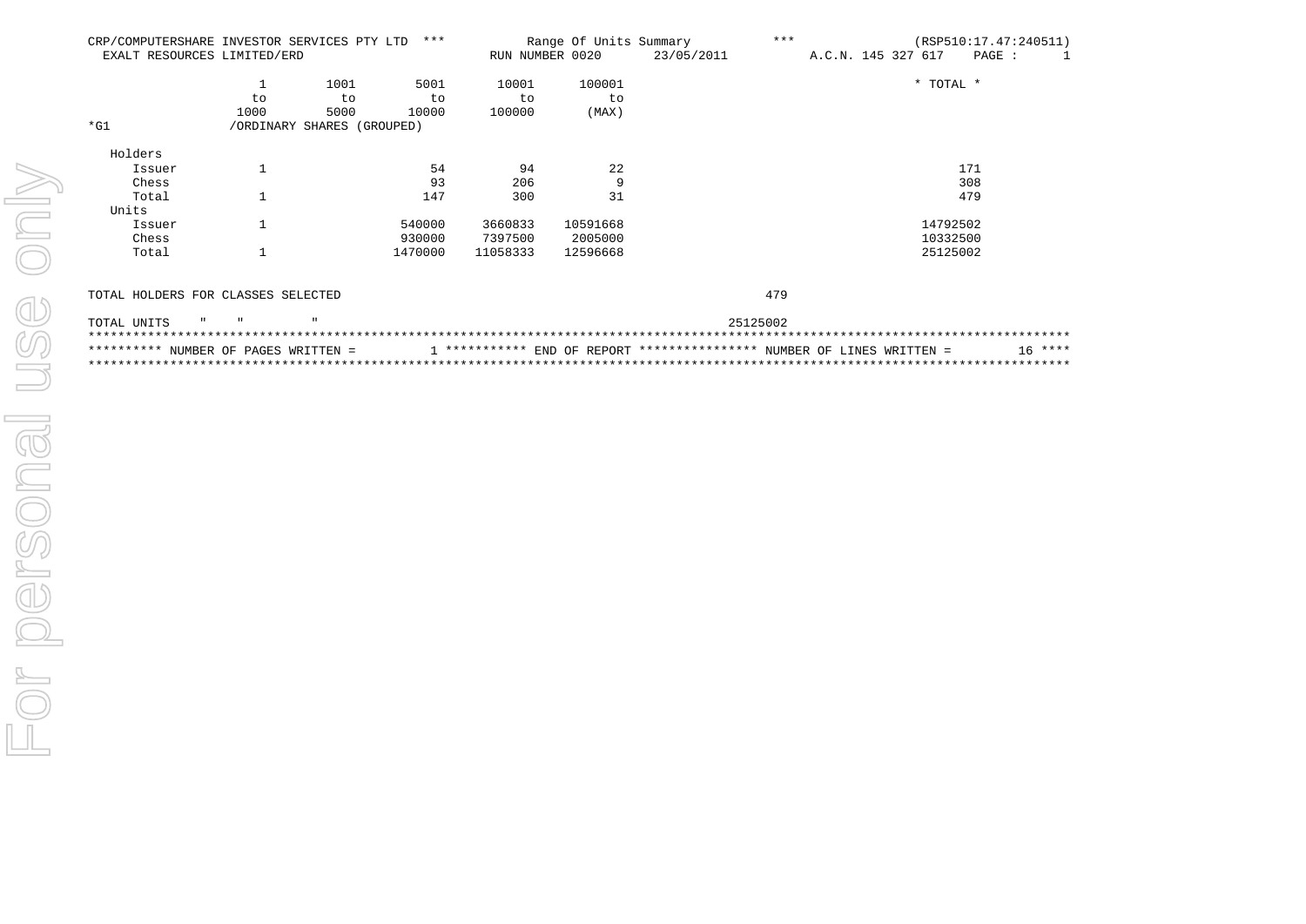| CRP/COMPUTERSHARE INVESTOR SERVICES PTY LTD |      |                            | ***     |                 | Range Of Units Summary | ***<br>(RSP510:17.47:240511) |  |                    |  |  |           |          |  |  |  |
|---------------------------------------------|------|----------------------------|---------|-----------------|------------------------|------------------------------|--|--------------------|--|--|-----------|----------|--|--|--|
| EXALT RESOURCES LIMITED/ERD                 |      |                            |         | RUN NUMBER 0020 |                        | 23/05/2011                   |  | A.C.N. 145 327 617 |  |  |           | $PAGE$ : |  |  |  |
|                                             |      | 1001                       | 5001    | 10001           | 100001                 |                              |  |                    |  |  | * TOTAL * |          |  |  |  |
|                                             | to   | to                         | to      | to              | to                     |                              |  |                    |  |  |           |          |  |  |  |
|                                             | 1000 | 5000                       | 10000   | 100000          | (MAX)                  |                              |  |                    |  |  |           |          |  |  |  |
| $*$ G1                                      |      | /ORDINARY SHARES (GROUPED) |         |                 |                        |                              |  |                    |  |  |           |          |  |  |  |
| Holders                                     |      |                            |         |                 |                        |                              |  |                    |  |  |           |          |  |  |  |
| Issuer                                      |      |                            | 54      | 94              | 22                     |                              |  |                    |  |  |           | 171      |  |  |  |
| Chess                                       |      |                            | 93      | 206             | 9                      |                              |  |                    |  |  |           | 308      |  |  |  |
| Total                                       |      |                            | 147     | 300             | 31                     |                              |  |                    |  |  |           | 479      |  |  |  |
| Units                                       |      |                            |         |                 |                        |                              |  |                    |  |  |           |          |  |  |  |
| Issuer                                      |      |                            | 540000  | 3660833         | 10591668               |                              |  |                    |  |  | 14792502  |          |  |  |  |
| Chess                                       |      |                            | 930000  | 7397500         | 2005000                |                              |  |                    |  |  | 10332500  |          |  |  |  |
| Total                                       |      |                            | 1470000 | 11058333        | 12596668               |                              |  |                    |  |  | 25125002  |          |  |  |  |
|                                             |      |                            |         |                 |                        |                              |  |                    |  |  |           |          |  |  |  |

## TOTAL HOLDERS FOR CLASSES SELECTED 479

479

| TOTAL UNITS " " |  |                                      |  |                                                                         |  |  | 25125002 |  |  |           |  |
|-----------------|--|--------------------------------------|--|-------------------------------------------------------------------------|--|--|----------|--|--|-----------|--|
|                 |  |                                      |  |                                                                         |  |  |          |  |  |           |  |
|                 |  | ********** NUMBER OF PAGES WRITTEN = |  | $1$ *********** END OF REPORT *************** NUMBER OF LINES WRITTEN = |  |  |          |  |  | $16$ **** |  |
|                 |  |                                      |  |                                                                         |  |  |          |  |  |           |  |